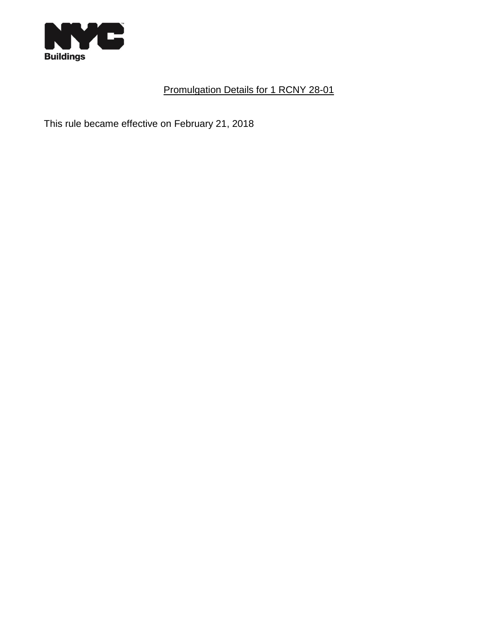

## Promulgation Details for 1 RCNY 28-01

This rule became effective on February 21, 2018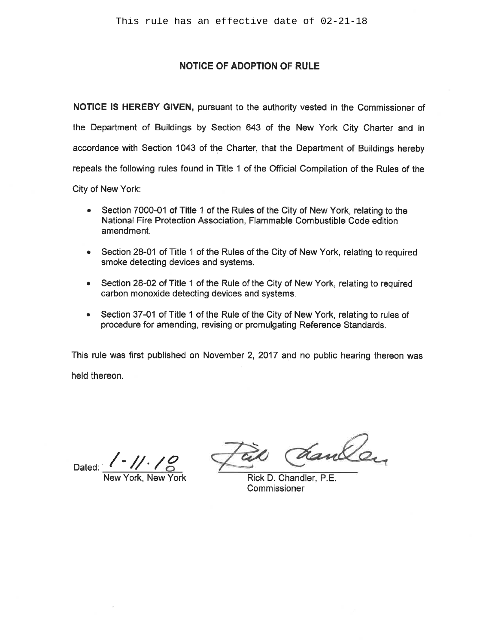## **NOTICE OF ADOPTION OF RULE**

NOTICE IS HEREBY GIVEN, pursuant to the authority vested in the Commissioner of the Department of Buildings by Section 643 of the New York City Charter and in accordance with Section 1043 of the Charter, that the Department of Buildings hereby repeals the following rules found in Title 1 of the Official Compilation of the Rules of the City of New York:

• Section 7000-01 of Title 1 of the Rules of the City of New York, relating to the National Fire Protection Association, Flammable Combustible Code edition amendment.

- Section 28-01 of Title 1 of the Rules of the City of New York, relating to required smoke detecting devices and systems.
- Section 28-02 of Title 1 of the Rule of the City of New York, relating to required carbon monoxide detecting devices and systems.
- Section 37-01 of Title 1 of the Rule of the City of New York, relating to rules of procedure for amending, revising or promulgating Reference Standards.

This rule was first published on November 2, 2017 and no public hearing thereon was held thereon.

Dated:

York New York

danker

Rick D. Chandler, P.E. Commissioner